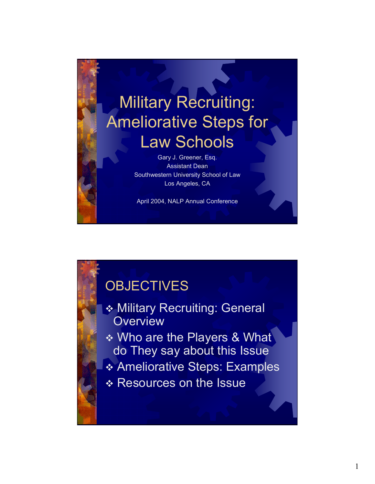

# **OBJECTIVES**

 Military Recruiting: General **Overview**  Who are the Players & What do They say about this Issue Ameliorative Steps: Examples \* Resources on the Issue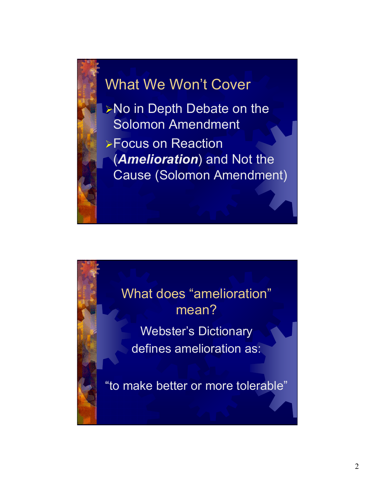# What We Won't Cover

¾No in Depth Debate on the Solomon Amendment

¾Focus on Reaction (*Amelioration*) and Not the Cause (Solomon Amendment)

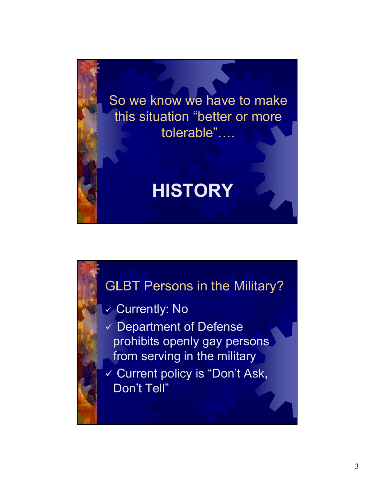

### GLBT Persons in the Military?

#### $\checkmark$  Currently: No

 $\checkmark$  Department of Defense prohibits openly gay persons from serving in the military

9 Current policy is "Don't Ask, Don't Tell"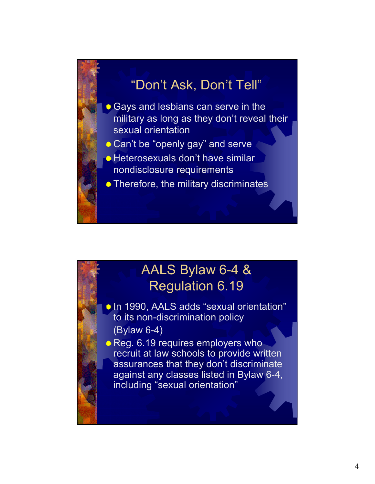# "Don't Ask, Don't Tell"

- Gays and lesbians can serve in the military as long as they don't reveal their sexual orientation
- Can't be "openly gay" and serve
- Heterosexuals don't have similar
	- nondisclosure requirements
- **Therefore, the military discriminates**

## AALS Bylaw 6-4 & Regulation 6.19

- In 1990, AALS adds "sexual orientation" to its non-discrimination policy (Bylaw 6-4)
- Reg. 6.19 requires employers who recruit at law schools to provide written assurances that they don't discriminate against any classes listed in Bylaw 6-4, including "sexual orientation"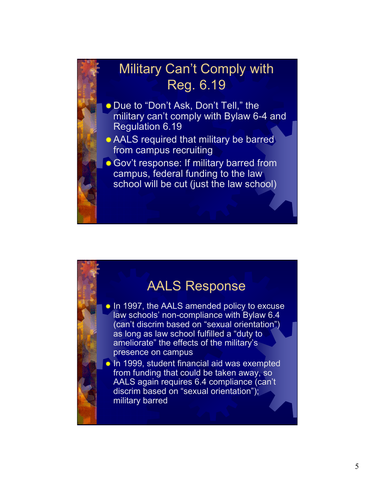## Military Can't Comply with Reg. 6.19 **Due to "Don't Ask, Don't Tell," the** military can't comply with Bylaw 6-4 and Regulation 6.19 AALS required that military be barred from campus recruiting Gov't response: If military barred from campus, federal funding to the law school will be cut (just the law school)

### AALS Response

- In 1997, the AALS amended policy to excuse law schools' non-compliance with Bylaw 6.4 (can't discrim based on "sexual orientation") as long as law school fulfilled a "duty to ameliorate" the effects of the military's presence on campus
- In 1999, student financial aid was exempted from funding that could be taken away, so AALS again requires 6.4 compliance (can't discrim based on "sexual orientation"); military barred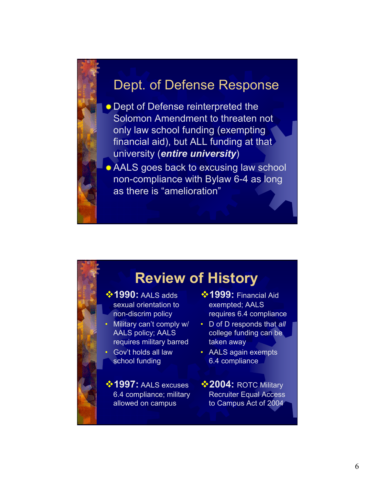#### Dept. of Defense Response

Dept of Defense reinterpreted the Solomon Amendment to threaten not only law school funding (exempting financial aid), but ALL funding at that university (*entire university*)

AALS goes back to excusing law school non-compliance with Bylaw 6-4 as long as there is "amelioration"

# **Review of History**

- **<sup>❖</sup> 1990:** AALS adds sexual orientation to non-discrim policy
- Military can't comply w/ AALS policy; AALS requires military barred
- Gov't holds all law school funding

**<sup>❖</sup> 1997:** AALS excuses 6.4 compliance; military allowed on campus

- **<sup>❖</sup> 1999:** Financial Aid exempted; AALS requires 6.4 compliance
- D of D responds that *all* college funding can be taken away
- AALS again exempts 6.4 compliance
- **<sup>❖</sup> 2004: ROTC Military** Recruiter Equal Access to Campus Act of 2004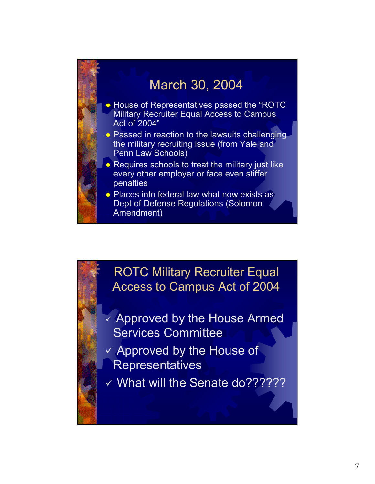

ROTC Military Recruiter Equal Access to Campus Act of 2004

- $\checkmark$  Approved by the House Armed Services Committee
- $\checkmark$  Approved by the House of **Representatives**
- v What will the Senate do???????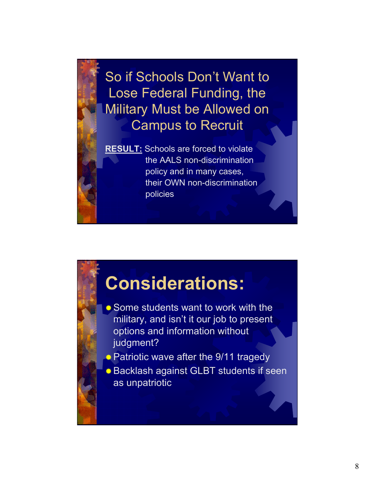So if Schools Don't Want to Lose Federal Funding, the Military Must be Allowed on Campus to Recruit

**RESULT:** Schools are forced to violate the AALS non-discrimination policy and in many cases, their OWN non-discrimination policies

# **Considerations:**

- Some students want to work with the military, and isn't it our job to present options and information without judgment?
- \* Patriotic wave after the 9/11 tragedy
- Backlash against GLBT students if seen as unpatriotic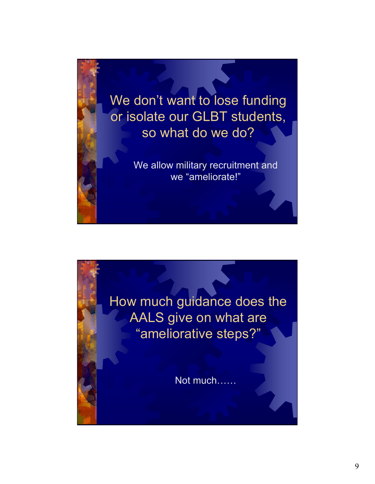

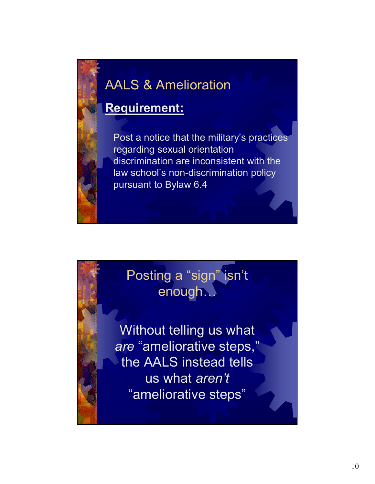# AALS & Amelioration

### **Requirement:**

Post a notice that the military's practices regarding sexual orientation discrimination are inconsistent with the law school's non-discrimination policy pursuant to Bylaw 6.4

# Posting a "sign" isn't enough…

Without telling us what *are* "ameliorative steps," the AALS instead tells us what *aren't* "ameliorative steps"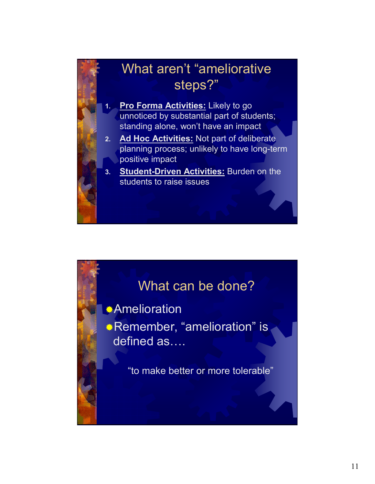

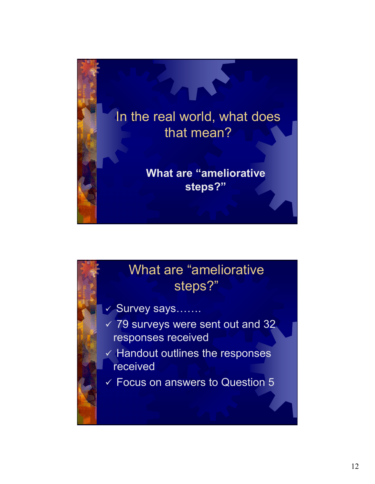

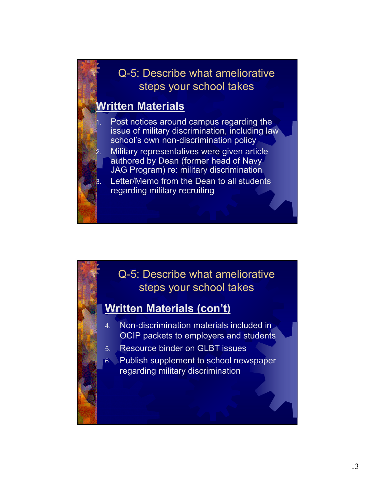#### **Written Materials**

- Post notices around campus regarding the issue of military discrimination, including law school's own non-discrimination policy
- Military representatives were given article authored by Dean (former head of Navy JAG Program) re: military discrimination
- Letter/Memo from the Dean to all students regarding military recruiting

# Q-5: Describe what ameliorative steps your school takes

#### **Written Materials (con't)**

- 4. Non-discrimination materials included in OCIP packets to employers and students
- 5. Resource binder on GLBT issues
- 6. Publish supplement to school newspaper regarding military discrimination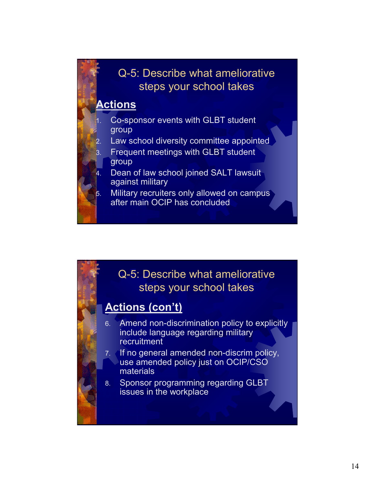#### **Actions**

- 1. Co-sponsor events with GLBT student group
- Law school diversity committee appointed
- 3. Frequent meetings with GLBT student group
- Dean of law school joined SALT lawsuit against military
- Military recruiters only allowed on campus after main OCIP has concluded

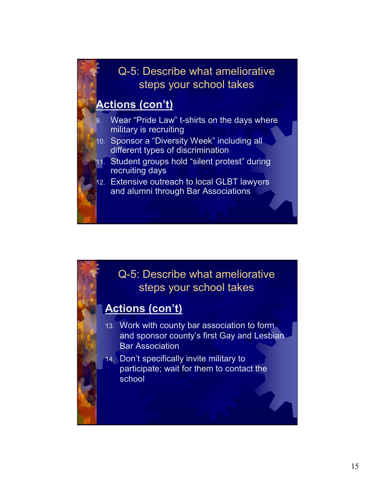#### **Actions (con't)**

- Wear "Pride Law" t-shirts on the days where military is recruiting
- 10. Sponsor a "Diversity Week" including all different types of discrimination
- 11. Student groups hold "silent protest" during recruiting days
- 12. Extensive outreach to local GLBT lawyers and alumni through Bar Associations

#### Q-5: Describe what ameliorative steps your school takes

#### **Actions (con't)**

- 13. Work with county bar association to form and sponsor county's first Gay and Lesbian Bar Association
- 14. Don't specifically invite military to participate; wait for them to contact the school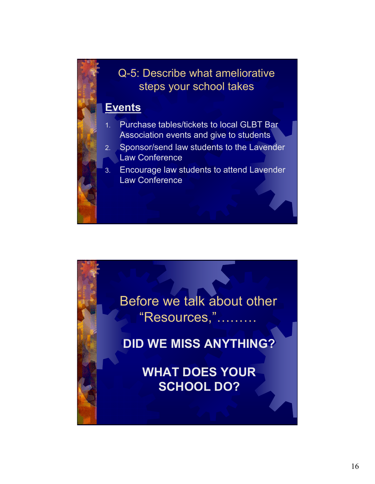#### **Events**

- 1. Purchase tables/tickets to local GLBT Bar Association events and give to students
- 2. Sponsor/send law students to the Lavender Law Conference
- 3. Encourage law students to attend Lavender Law Conference

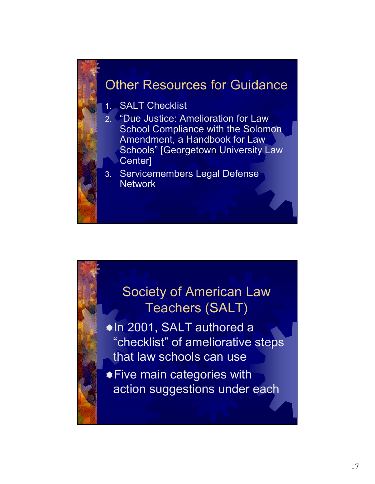### Other Resources for Guidance

1. SALT Checklist

- 2. "Due Justice: Amelioration for Law School Compliance with the Solomon Amendment, a Handbook for Law Schools" [Georgetown University Law Center]
- 3. Servicemembers Legal Defense Network

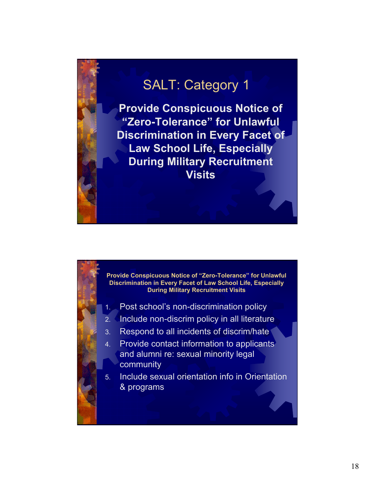**Provide Conspicuous Notice of "Zero-Tolerance" for Unlawful Discrimination in Every Facet of Law School Life, Especially During Military Recruitment Visits**

**Provide Conspicuous Notice of "Zero-Tolerance" for Unlawful Discrimination in Every Facet of Law School Life, Especially During Military Recruitment Visits**

- 1. Post school's non-discrimination policy
- 2. Include non-discrim policy in all literature
- 3. Respond to all incidents of discrim/hate
- 4. Provide contact information to applicants and alumni re: sexual minority legal community
- 5. Include sexual orientation info in Orientation & programs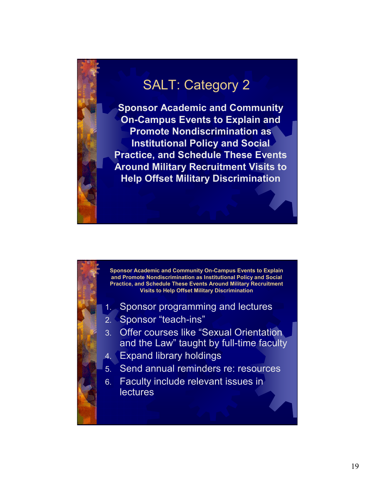**Sponsor Academic and Community On-Campus Events to Explain and Promote Nondiscrimination as Institutional Policy and Social Practice, and Schedule These Events Around Military Recruitment Visits to Help Offset Military Discrimination**



- 1. Sponsor programming and lectures
- 2. Sponsor "teach-ins"
- 3. Offer courses like "Sexual Orientation and the Law" taught by full-time faculty
- 4. Expand library holdings
- 5. Send annual reminders re: resources
- 6. Faculty include relevant issues in **lectures**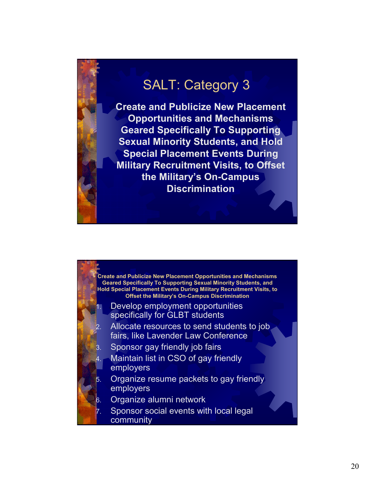**Create and Publicize New Placement Opportunities and Mechanisms Geared Specifically To Supporting Sexual Minority Students, and Hold Special Placement Events During Military Recruitment Visits, to Offset the Military's On-Campus Discrimination**

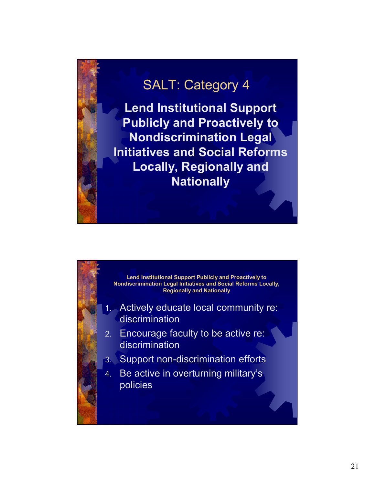**Lend Institutional Support Publicly and Proactively to Nondiscrimination Legal Initiatives and Social Reforms Locally, Regionally and Nationally**

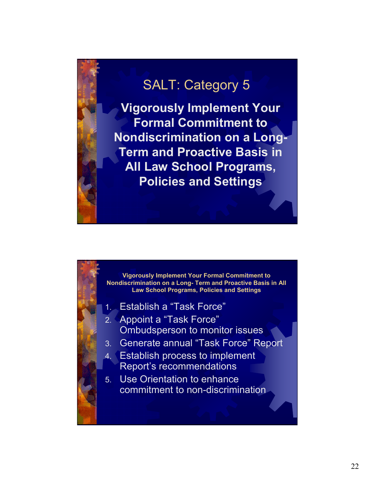**Vigorously Implement Your Formal Commitment to Nondiscrimination on a Long-Term and Proactive Basis in All Law School Programs, Policies and Settings**

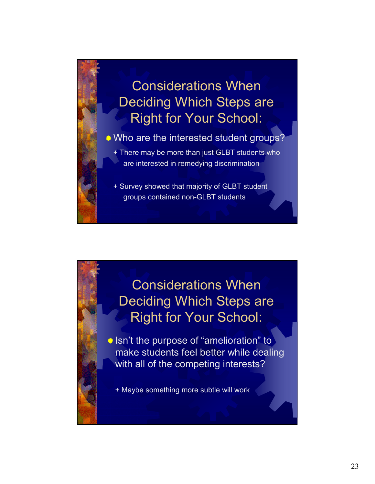# Considerations When Deciding Which Steps are Right for Your School:

#### Who are the interested student groups?

+ There may be more than just GLBT students who are interested in remedying discrimination

+ Survey showed that majority of GLBT student groups contained non-GLBT students

## Considerations When Deciding Which Steps are Right for Your School:

**Isn't the purpose of "amelioration" to** make students feel better while dealing with all of the competing interests?

+ Maybe something more subtle will work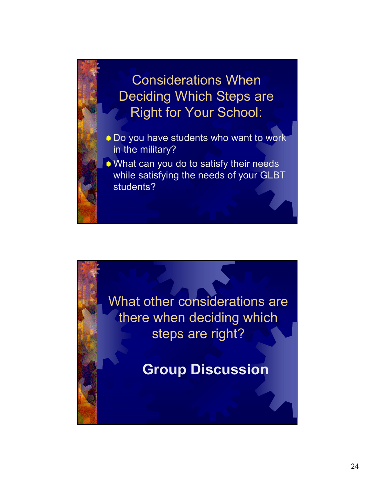Considerations When Deciding Which Steps are Right for Your School:

- **Do you have students who want to work** in the military?
- What can you do to satisfy their needs while satisfying the needs of your GLBT students?

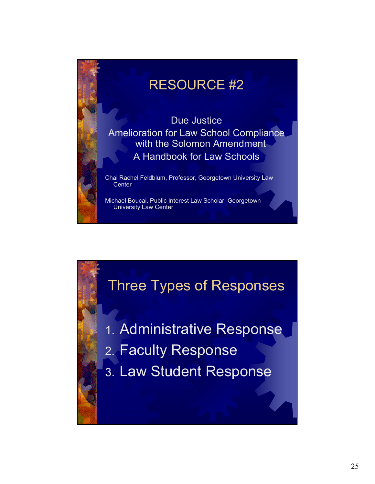# RESOURCE #2

Due Justice Amelioration for Law School Compliance with the Solomon Amendment A Handbook for Law Schools

Chai Rachel Feldblum, Professor, Georgetown University Law **Center** 

Michael Boucai, Public Interest Law Scholar, Georgetown University Law Center

# Three Types of Responses

- 1. Administrative Response
- 2. Faculty Response
- 3. Law Student Response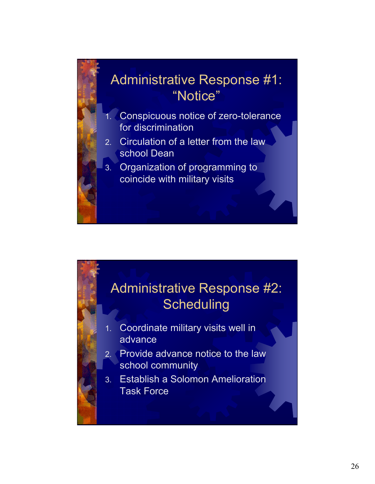



- 1. Coordinate military visits well in advance
- 2. Provide advance notice to the law school community
- 3. Establish a Solomon Amelioration Task Force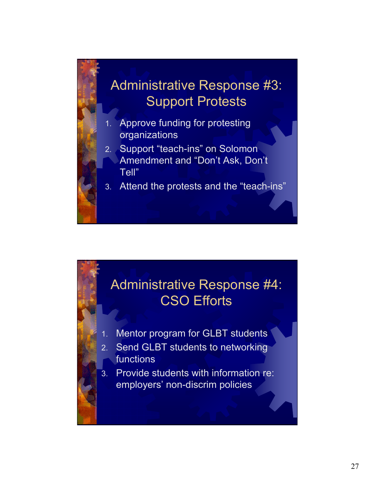# Administrative Response #3: Support Protests

- Approve funding for protesting organizations
- 2. Support "teach-ins" on Solomon Amendment and "Don't Ask, Don't Tell"
- 3. Attend the protests and the "teach-ins"

## Administrative Response #4: CSO Efforts

- Mentor program for GLBT students
- 2. Send GLBT students to networking functions
- 3. Provide students with information re: employers' non-discrim policies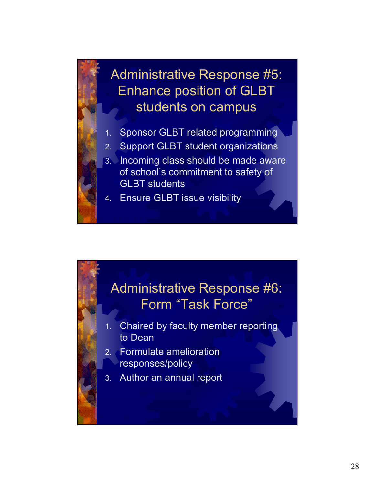

- 1. Sponsor GLBT related programming
- 2. Support GLBT student organizations
- 3. Incoming class should be made aware of school's commitment to safety of GLBT students
- Ensure GLBT issue visibility

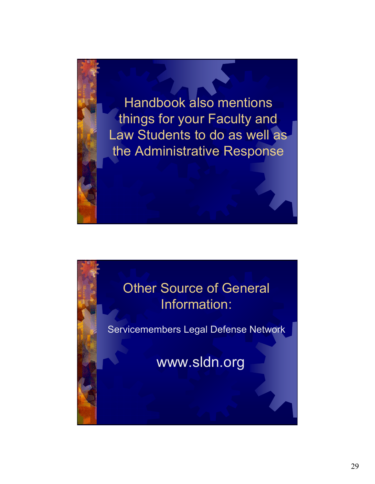

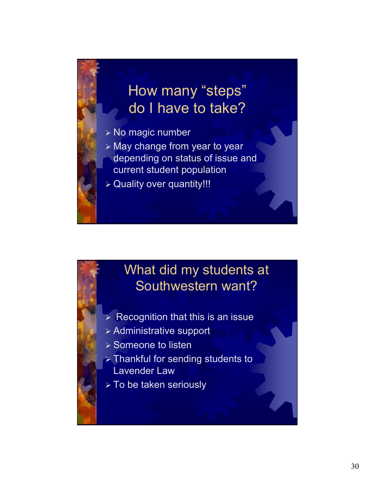# How many "steps" do I have to take?

¾ No magic number

¾ May change from year to year depending on status of issue and current student population

¾ Quality over quantity!!!

## What did my students at Southwestern want?

- $\triangleright$  Recognition that this is an issue
- ¾ Administrative support
- ¾ Someone to listen
- ¾ Thankful for sending students to Lavender Law
- ¾ To be taken seriously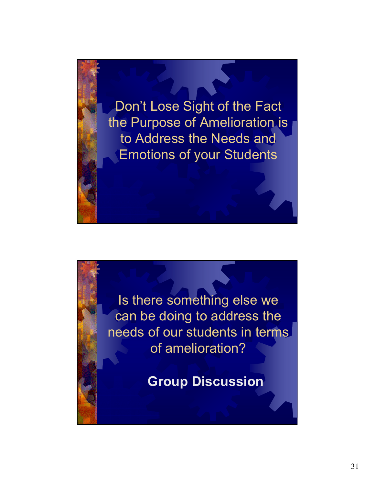

Is there something else we can be doing to address the needs of our students in terms of amelioration?

**Group Discussion**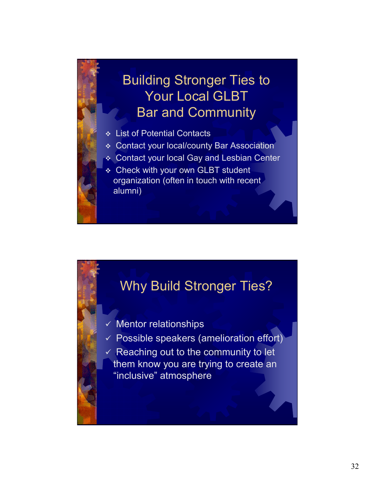# Building Stronger Ties to Your Local GLBT Bar and Community

- List of Potential Contacts
- Contact your local/county Bar Association
- Contact your local Gay and Lesbian Center
- **Example 2 Check with your own GLBT student** organization (often in touch with recent alumni)

### Why Build Stronger Ties?

- $\checkmark$  Mentor relationships
- $\checkmark$  Possible speakers (amelioration effort)
- $\checkmark$  Reaching out to the community to let them know you are trying to create an "inclusive" atmosphere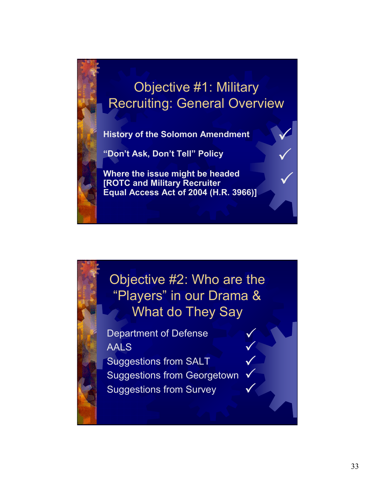# Objective #1: Military Recruiting: General Overview

 $\checkmark$ 

 $\checkmark$ 

 $\checkmark$ 

 $\checkmark$ 

 $\checkmark$ 

 $\checkmark$ 

 $\checkmark$ 

 $\checkmark$ 

**History of the Solomon Amendment**

**"Don't Ask, Don't Tell" Policy**

**Where the issue might be headed [ROTC and Military Recruiter Equal Access Act of 2004 (H.R. 3966)]**

Objective #2: Who are the "Players" in our Drama & What do They Say

Department of Defense AALS Suggestions from SALT Suggestions from Georgetown Suggestions from Survey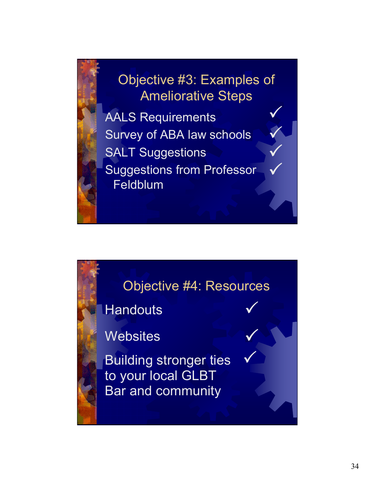Objective #3: Examples of Ameliorative Steps AALS Requirements Survey of ABA law schools SALT Suggestions Suggestions from Professor Feldblum  $\checkmark$  $\checkmark$  $\bigvee$  $\bigvee$ 

### Objective #4: Resources

 $\checkmark$ 

 $\checkmark$ 

 $\checkmark$ 

**Handouts** 

**Websites** 

Building stronger ties to your local GLBT Bar and community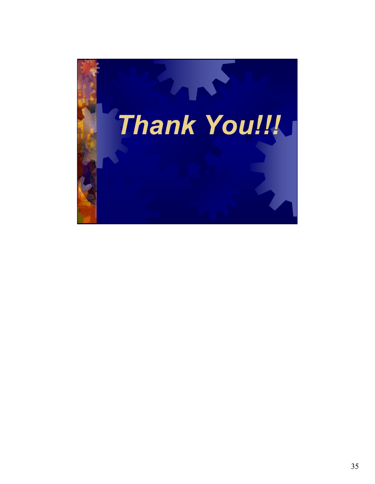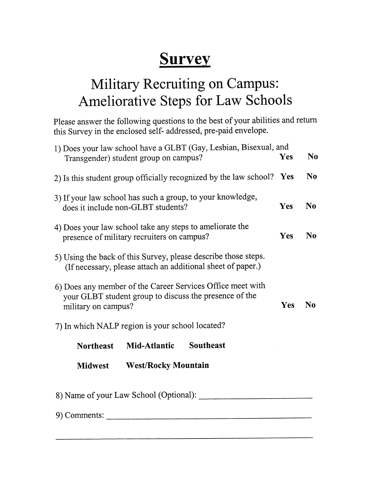# **Survey**

# Military Recruiting on Campus: Ameliorative Steps for Law Schools

Please answer the following questions to the best of your abilities and return this Survey in the enclosed self-addressed, pre-paid envelope.

| 1) Does your law school have a GLBT (Gay, Lesbian, Bisexual, and<br>Transgender) student group on campus?                                   |                            |                  | Yes | N <sub>0</sub> |  |
|---------------------------------------------------------------------------------------------------------------------------------------------|----------------------------|------------------|-----|----------------|--|
| 2) Is this student group officially recognized by the law school? Yes                                                                       |                            |                  |     | N <sub>0</sub> |  |
| 3) If your law school has such a group, to your knowledge,<br>does it include non-GLBT students?                                            |                            |                  |     | N <sub>0</sub> |  |
| 4) Does your law school take any steps to ameliorate the<br>presence of military recruiters on campus?                                      |                            |                  |     | N <sub>0</sub> |  |
| 5) Using the back of this Survey, please describe those steps.<br>(If necessary, please attach an additional sheet of paper.)               |                            |                  |     |                |  |
| 6) Does any member of the Career Services Office meet with<br>your GLBT student group to discuss the presence of the<br>military on campus? |                            |                  |     | N <sub>0</sub> |  |
| 7) In which NALP region is your school located?                                                                                             |                            |                  |     |                |  |
| <b>Northeast</b>                                                                                                                            | Mid-Atlantic               | <b>Southeast</b> |     |                |  |
| <b>Midwest</b>                                                                                                                              | <b>West/Rocky Mountain</b> |                  |     |                |  |
| 8) Name of your Law School (Optional): ______                                                                                               |                            |                  |     |                |  |
| 9) Comments:                                                                                                                                |                            |                  |     |                |  |
|                                                                                                                                             |                            |                  |     |                |  |